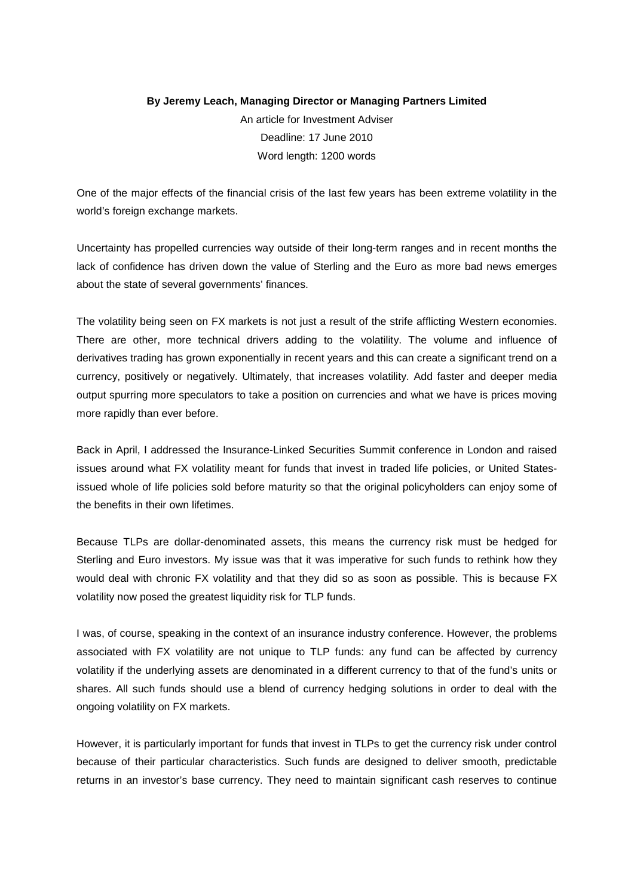## **By Jeremy Leach, Managing Director or Managing Partners Limited** An article for Investment Adviser Deadline: 17 June 2010 Word length: 1200 words

One of the major effects of the financial crisis of the last few years has been extreme volatility in the world's foreign exchange markets.

Uncertainty has propelled currencies way outside of their long-term ranges and in recent months the lack of confidence has driven down the value of Sterling and the Euro as more bad news emerges about the state of several governments' finances.

The volatility being seen on FX markets is not just a result of the strife afflicting Western economies. There are other, more technical drivers adding to the volatility. The volume and influence of derivatives trading has grown exponentially in recent years and this can create a significant trend on a currency, positively or negatively. Ultimately, that increases volatility. Add faster and deeper media output spurring more speculators to take a position on currencies and what we have is prices moving more rapidly than ever before.

Back in April, I addressed the Insurance-Linked Securities Summit conference in London and raised issues around what FX volatility meant for funds that invest in traded life policies, or United Statesissued whole of life policies sold before maturity so that the original policyholders can enjoy some of the benefits in their own lifetimes.

Because TLPs are dollar-denominated assets, this means the currency risk must be hedged for Sterling and Euro investors. My issue was that it was imperative for such funds to rethink how they would deal with chronic FX volatility and that they did so as soon as possible. This is because FX volatility now posed the greatest liquidity risk for TLP funds.

I was, of course, speaking in the context of an insurance industry conference. However, the problems associated with FX volatility are not unique to TLP funds: any fund can be affected by currency volatility if the underlying assets are denominated in a different currency to that of the fund's units or shares. All such funds should use a blend of currency hedging solutions in order to deal with the ongoing volatility on FX markets.

However, it is particularly important for funds that invest in TLPs to get the currency risk under control because of their particular characteristics. Such funds are designed to deliver smooth, predictable returns in an investor's base currency. They need to maintain significant cash reserves to continue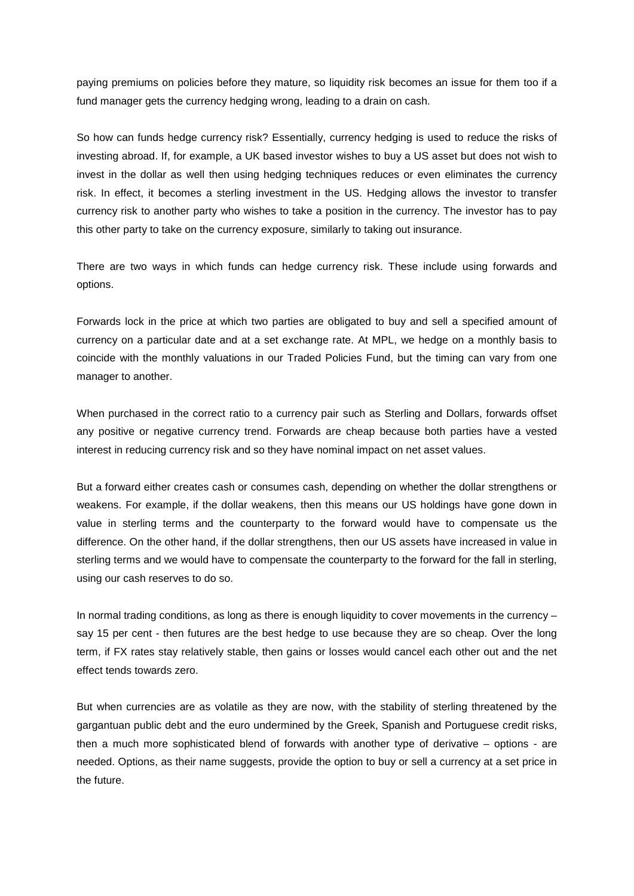paying premiums on policies before they mature, so liquidity risk becomes an issue for them too if a fund manager gets the currency hedging wrong, leading to a drain on cash.

So how can funds hedge currency risk? Essentially, currency hedging is used to reduce the risks of investing abroad. If, for example, a UK based investor wishes to buy a US asset but does not wish to invest in the dollar as well then using hedging techniques reduces or even eliminates the currency risk. In effect, it becomes a sterling investment in the US. Hedging allows the investor to transfer currency risk to another party who wishes to take a position in the currency. The investor has to pay this other party to take on the currency exposure, similarly to taking out insurance.

There are two ways in which funds can hedge currency risk. These include using forwards and options.

Forwards lock in the price at which two parties are obligated to buy and sell a specified amount of currency on a particular date and at a set exchange rate. At MPL, we hedge on a monthly basis to coincide with the monthly valuations in our Traded Policies Fund, but the timing can vary from one manager to another.

When purchased in the correct ratio to a currency pair such as Sterling and Dollars, forwards offset any positive or negative currency trend. Forwards are cheap because both parties have a vested interest in reducing currency risk and so they have nominal impact on net asset values.

But a forward either creates cash or consumes cash, depending on whether the dollar strengthens or weakens. For example, if the dollar weakens, then this means our US holdings have gone down in value in sterling terms and the counterparty to the forward would have to compensate us the difference. On the other hand, if the dollar strengthens, then our US assets have increased in value in sterling terms and we would have to compensate the counterparty to the forward for the fall in sterling, using our cash reserves to do so.

In normal trading conditions, as long as there is enough liquidity to cover movements in the currency – say 15 per cent - then futures are the best hedge to use because they are so cheap. Over the long term, if FX rates stay relatively stable, then gains or losses would cancel each other out and the net effect tends towards zero.

But when currencies are as volatile as they are now, with the stability of sterling threatened by the gargantuan public debt and the euro undermined by the Greek, Spanish and Portuguese credit risks, then a much more sophisticated blend of forwards with another type of derivative – options - are needed. Options, as their name suggests, provide the option to buy or sell a currency at a set price in the future.